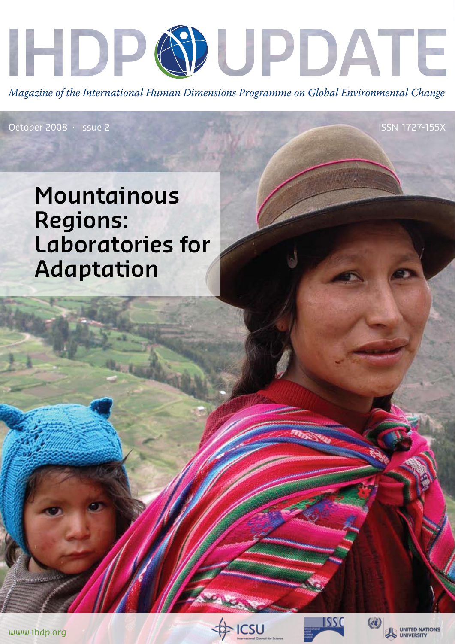

*Magazine of the International Human Dimensions Programme on Global Environmental Change*

October 2008 · Issue 2

# **Mountainous Regions: Laboratories for Adaptation**









ISSN 1727-155X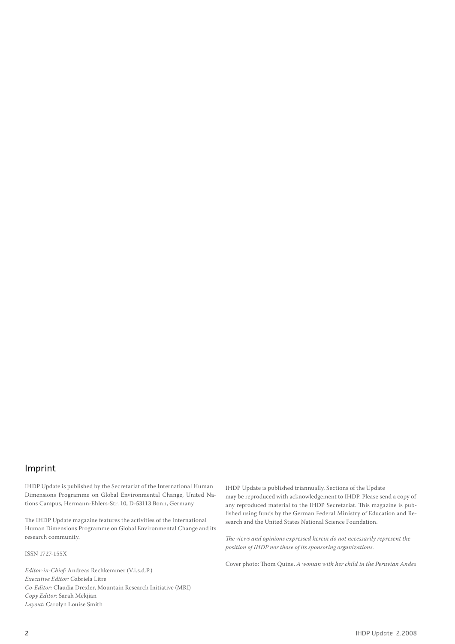# Imprint

IHDP Update is published by the Secretariat of the International Human Dimensions Programme on Global Environmental Change, United Nations Campus, Hermann-Ehlers-Str. 10, D-53113 Bonn, Germany

The IHDP Update magazine features the activities of the International Human Dimensions Programme on Global Environmental Change and its research community.

ISSN 1727-155X

*Editor-in-Chief:* Andreas Rechkemmer (V.i.s.d.P.) *Executive Editor:* Gabriela Litre *Co-Editor:* Claudia Drexler, Mountain Research Initiative (MRI) *Copy Editor:* Sarah Mekjian *Layout:* Carolyn Louise Smith

IHDP Update is published triannually. Sections of the Update may be reproduced with acknowledgement to IHDP. Please send a copy of any reproduced material to the IHDP Secretariat. This magazine is published using funds by the German Federal Ministry of Education and Research and the United States National Science Foundation.

*The views and opinions expressed herein do not necessarily represent the position of IHDP nor those of its sponsoring organizations.* 

Cover photo: Thom Quine, *A woman with her child in the Peruvian Andes*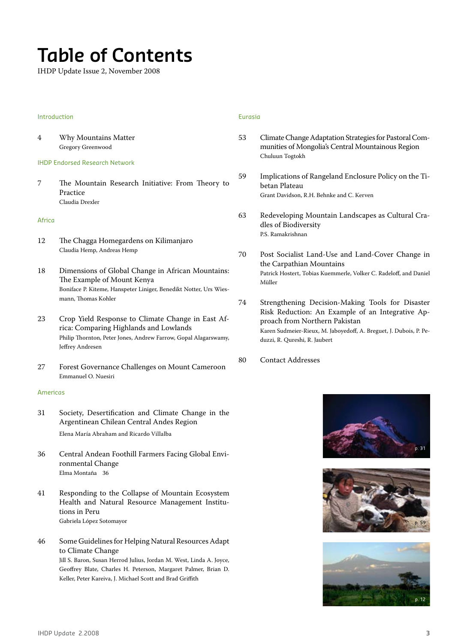# **Table of Contents**

IHDP Update Issue 2, November 2008

#### Introduction

4 Why Mountains Matter Gregory Greenwood

#### IHDP Endorsed Research Network

7 The Mountain Research Initiative: From Theory to Practice Claudia Drexler

#### Africa

- 12 The Chagga Homegardens on Kilimanjaro Claudia Hemp, Andreas Hemp
- 18 Dimensions of Global Change in African Mountains: The Example of Mount Kenya Boniface P. Kiteme, Hanspeter Liniger, Benedikt Notter, Urs Wiesmann, Thomas Kohler
- 23 Crop Yield Response to Climate Change in East Africa: Comparing Highlands and Lowlands Philip Thornton, Peter Jones, Andrew Farrow, Gopal Alagarswamy, Jeffrey Andresen
- 27 Forest Governance Challenges on Mount Cameroon Emmanuel O. Nuesiri

#### Americas

- 31 Society, Desertification and Climate Change in the Argentinean Chilean Central Andes Region Elena María Abraham and Ricardo Villalba
- 36 Central Andean Foothill Farmers Facing Global Environmental Change Elma Montaña 36
- 41 Responding to the Collapse of Mountain Ecosystem Health and Natural Resource Management Institutions in Peru Gabriela López Sotomayor
- 46 Some Guidelines for Helping Natural Resources Adapt to Climate Change Jill S. Baron, Susan Herrod Julius, Jordan M. West, Linda A. Joyce, Geoffrey Blate, Charles H. Peterson, Margaret Palmer, Brian D. Keller, Peter Kareiva, J. Michael Scott and Brad Griffith

### Eurasia

- 53 Climate Change Adaptation Strategies for Pastoral Communities of Mongolia's Central Mountainous Region Chuluun Togtokh
- 59 Implications of Rangeland Enclosure Policy on the Tibetan Plateau Grant Davidson, R.H. Behnke and C. Kerven
- 63 Redeveloping Mountain Landscapes as Cultural Cradles of Biodiversity P.S. Ramakrishnan
- 70 Post Socialist Land-Use and Land-Cover Change in the Carpathian Mountains Patrick Hostert, Tobias Kuemmerle, Volker C. Radeloff, and Daniel Müller
- 74 Strengthening Decision-Making Tools for Disaster Risk Reduction: An Example of an Integrative Approach from Northern Pakistan Karen Sudmeier-Rieux, M. Jaboyedoff, A. Breguet, J. Dubois, P. Peduzzi, R. Qureshi, R. Jaubert
- 80 Contact Addresses





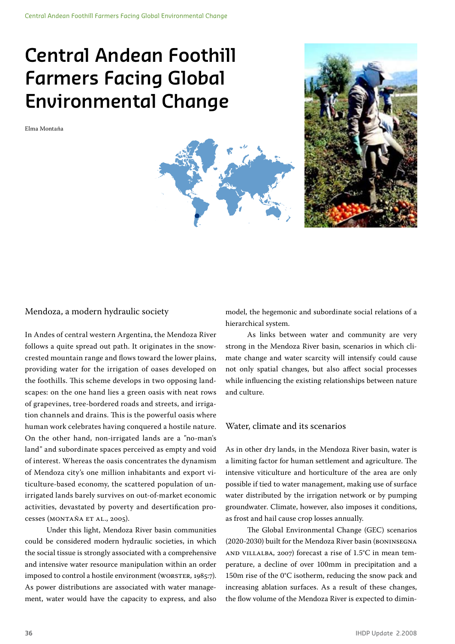# **Central Andean Foothill Farmers Facing Global Environmental Change**

Elma Montaña



## Mendoza, a modern hydraulic society

In Andes of central western Argentina, the Mendoza River follows a quite spread out path. It originates in the snowcrested mountain range and flows toward the lower plains, providing water for the irrigation of oases developed on the foothills. This scheme develops in two opposing landscapes: on the one hand lies a green oasis with neat rows of grapevines, tree-bordered roads and streets, and irrigation channels and drains. This is the powerful oasis where human work celebrates having conquered a hostile nature. On the other hand, non-irrigated lands are a "no-man's land" and subordinate spaces perceived as empty and void of interest. Whereas the oasis concentrates the dynamism of Mendoza city's one million inhabitants and export viticulture-based economy, the scattered population of unirrigated lands barely survives on out-of-market economic activities, devastated by poverty and desertification processes (MONTAÑA ET AL., 2005).

Under this light, Mendoza River basin communities could be considered modern hydraulic societies, in which the social tissue is strongly associated with a comprehensive and intensive water resource manipulation within an order imposed to control a hostile environment (WORSTER, 1985:7). As power distributions are associated with water management, water would have the capacity to express, and also

model, the hegemonic and subordinate social relations of a hierarchical system.

As links between water and community are very strong in the Mendoza River basin, scenarios in which climate change and water scarcity will intensify could cause not only spatial changes, but also affect social processes while influencing the existing relationships between nature and culture.

## Water, climate and its scenarios

As in other dry lands, in the Mendoza River basin, water is a limiting factor for human settlement and agriculture. The intensive viticulture and horticulture of the area are only possible if tied to water management, making use of surface water distributed by the irrigation network or by pumping groundwater. Climate, however, also imposes it conditions, as frost and hail cause crop losses annually.

The Global Environmental Change (GEC) scenarios (2020-2030) built for the Mendoza River basin (Boninsegna and Villalba, 2007) forecast a rise of 1.5°C in mean temperature, a decline of over 100mm in precipitation and a 150m rise of the 0°C isotherm, reducing the snow pack and increasing ablation surfaces. As a result of these changes, the flow volume of the Mendoza River is expected to dimin-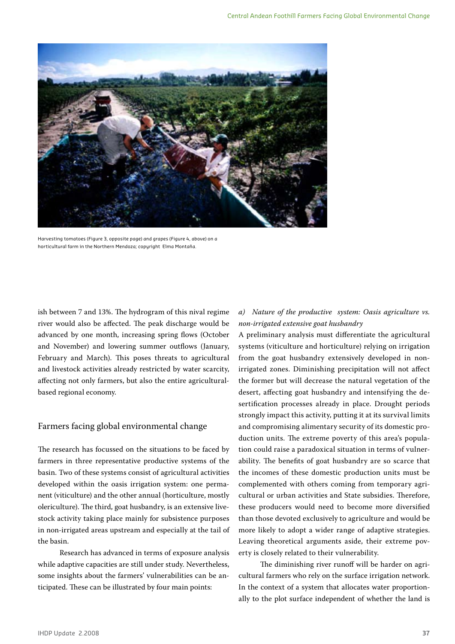

Harvesting tomatoes (Figure 3, opposite page) and grapes (Figure 4, above) on a horticultural farm in the Northern Mendoza; copyright Elma Montaña.

ish between 7 and 13%. The hydrogram of this nival regime river would also be affected. The peak discharge would be advanced by one month, increasing spring flows (October and November) and lowering summer outflows (January, February and March). This poses threats to agricultural and livestock activities already restricted by water scarcity, affecting not only farmers, but also the entire agriculturalbased regional economy.

## Farmers facing global environmental change

The research has focussed on the situations to be faced by farmers in three representative productive systems of the basin. Two of these systems consist of agricultural activities developed within the oasis irrigation system: one permanent (viticulture) and the other annual (horticulture, mostly olericulture). The third, goat husbandry, is an extensive livestock activity taking place mainly for subsistence purposes in non-irrigated areas upstream and especially at the tail of the basin.

Research has advanced in terms of exposure analysis while adaptive capacities are still under study. Nevertheless, some insights about the farmers' vulnerabilities can be anticipated. These can be illustrated by four main points:

# *a) Nature of the productive system: Oasis agriculture vs. non-irrigated extensive goat husbandry*

A preliminary analysis must differentiate the agricultural systems (viticulture and horticulture) relying on irrigation from the goat husbandry extensively developed in nonirrigated zones. Diminishing precipitation will not affect the former but will decrease the natural vegetation of the desert, affecting goat husbandry and intensifying the desertification processes already in place. Drought periods strongly impact this activity, putting it at its survival limits and compromising alimentary security of its domestic production units. The extreme poverty of this area's population could raise a paradoxical situation in terms of vulnerability. The benefits of goat husbandry are so scarce that the incomes of these domestic production units must be complemented with others coming from temporary agricultural or urban activities and State subsidies. Therefore, these producers would need to become more diversified than those devoted exclusively to agriculture and would be more likely to adopt a wider range of adaptive strategies. Leaving theoretical arguments aside, their extreme poverty is closely related to their vulnerability.

The diminishing river runoff will be harder on agricultural farmers who rely on the surface irrigation network. In the context of a system that allocates water proportionally to the plot surface independent of whether the land is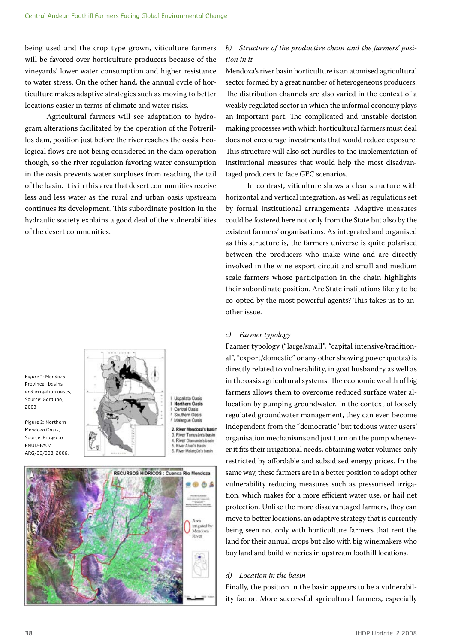being used and the crop type grown, viticulture farmers will be favored over horticulture producers because of the vineyards' lower water consumption and higher resistance to water stress. On the other hand, the annual cycle of horticulture makes adaptive strategies such as moving to better locations easier in terms of climate and water risks.

Agricultural farmers will see adaptation to hydrogram alterations facilitated by the operation of the Potrerillos dam, position just before the river reaches the oasis. Ecological flows are not being considered in the dam operation though, so the river regulation favoring water consumption in the oasis prevents water surpluses from reaching the tail of the basin. It is in this area that desert communities receive less and less water as the rural and urban oasis upstream continues its development. This subordinate position in the hydraulic society explains a good deal of the vulnerabilities of the desert communities.



Figure 2: Northern Mendoza Oasis, Source: Proyecto PNUD-FAO/ ARG/00/008, 2006.



Uspallata Oasis **Northern Oasis** Central Oasis Southern Oasis Malargüe Oasis River Mendoza's basir River Tunuyán's basin

River Atuel's basin



## *b) Structure of the productive chain and the farmers' position in it*

Mendoza's river basin horticulture is an atomised agricultural sector formed by a great number of heterogeneous producers. The distribution channels are also varied in the context of a weakly regulated sector in which the informal economy plays an important part. The complicated and unstable decision making processes with which horticultural farmers must deal does not encourage investments that would reduce exposure. This structure will also set hurdles to the implementation of institutional measures that would help the most disadvantaged producers to face GEC scenarios.

In contrast, viticulture shows a clear structure with horizontal and vertical integration, as well as regulations set by formal institutional arrangements. Adaptive measures could be fostered here not only from the State but also by the existent farmers' organisations. As integrated and organised as this structure is, the farmers universe is quite polarised between the producers who make wine and are directly involved in the wine export circuit and small and medium scale farmers whose participation in the chain highlights their subordinate position. Are State institutions likely to be co-opted by the most powerful agents? This takes us to another issue.

## *c) Farmer typology*

Faamer typology ("large/small", "capital intensive/traditional", "export/domestic" or any other showing power quotas) is directly related to vulnerability, in goat husbandry as well as in the oasis agricultural systems. The economic wealth of big farmers allows them to overcome reduced surface water allocation by pumping groundwater. In the context of loosely regulated groundwater management, they can even become independent from the "democratic" but tedious water users' organisation mechanisms and just turn on the pump whenever it fits their irrigational needs, obtaining water volumes only restricted by affordable and subsidised energy prices. In the same way, these farmers are in a better position to adopt other vulnerability reducing measures such as pressurised irrigation, which makes for a more efficient water use, or hail net protection. Unlike the more disadvantaged farmers, they can move to better locations, an adaptive strategy that is currently being seen not only with horticulture farmers that rent the land for their annual crops but also with big winemakers who buy land and build wineries in upstream foothill locations.

### *d) Location in the basin*

Finally, the position in the basin appears to be a vulnerability factor. More successful agricultural farmers, especially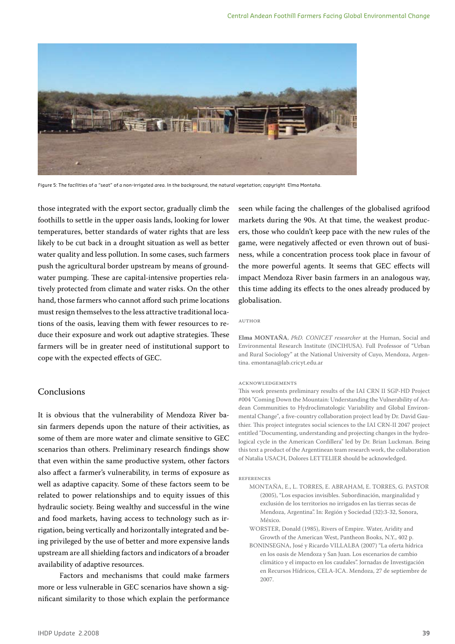

Figure 5: The facilities of a "seat" of a non-irrigated area. In the background, the natural vegetation; copyright Elma Montaña.

those integrated with the export sector, gradually climb the foothills to settle in the upper oasis lands, looking for lower temperatures, better standards of water rights that are less likely to be cut back in a drought situation as well as better water quality and less pollution. In some cases, such farmers push the agricultural border upstream by means of groundwater pumping. These are capital-intensive properties relatively protected from climate and water risks. On the other hand, those farmers who cannot afford such prime locations must resign themselves to the less attractive traditional locations of the oasis, leaving them with fewer resources to reduce their exposure and work out adaptive strategies. These farmers will be in greater need of institutional support to cope with the expected effects of GEC.

# Conclusions

It is obvious that the vulnerability of Mendoza River basin farmers depends upon the nature of their activities, as some of them are more water and climate sensitive to GEC scenarios than others. Preliminary research findings show that even within the same productive system, other factors also affect a farmer's vulnerability, in terms of exposure as well as adaptive capacity. Some of these factors seem to be related to power relationships and to equity issues of this hydraulic society. Being wealthy and successful in the wine and food markets, having access to technology such as irrigation, being vertically and horizontally integrated and being privileged by the use of better and more expensive lands upstream are all shielding factors and indicators of a broader availability of adaptive resources.

Factors and mechanisms that could make farmers more or less vulnerable in GEC scenarios have shown a significant similarity to those which explain the performance seen while facing the challenges of the globalised agrifood markets during the 90s. At that time, the weakest producers, those who couldn't keep pace with the new rules of the game, were negatively affected or even thrown out of business, while a concentration process took place in favour of the more powerful agents. It seems that GEC effects will impact Mendoza River basin farmers in an analogous way, this time adding its effects to the ones already produced by globalisation.

#### Author

**Elma MONTAÑA**, *PhD. CONICET researcher* at the Human, Social and Environmental Research Institute (INCIHUSA). Full Professor of "Urban and Rural Sociology" at the National University of Cuyo, Mendoza, Argentina. emontana@lab.cricyt.edu.ar

#### Acknowledgements

This work presents preliminary results of the IAI CRN II SGP-HD Project #004 "Coming Down the Mountain: Understanding the Vulnerability of Andean Communities to Hydroclimatologic Variability and Global Environmental Change", a five-country collaboration project lead by Dr. David Gauthier. This project integrates social sciences to the IAI CRN-II 2047 project entitled "Documenting, understanding and projecting changes in the hydrological cycle in the American Cordillera" led by Dr. Brian Luckman. Being this text a product of the Argentinean team research work, the collaboration of Natalia USACH, Dolores LETTELIER should be acknowledged.

#### References

- MONTAÑA, E., L. TORRES, E. ABRAHAM, E. TORRES, G. PASTOR (2005), "Los espacios invisibles. Subordinación, marginalidad y exclusión de los territorios no irrigados en las tierras secas de Mendoza, Argentina". In: Región y Sociedad (32):3-32, Sonora, México.
- WORSTER, Donald (1985), Rivers of Empire. Water, Aridity and Growth of the American West, Pantheon Books, N.Y., 402 p.
- BONINSEGNA, José y Ricardo VILLALBA (2007) "La oferta hídrica en los oasis de Mendoza y San Juan. Los escenarios de cambio climático y el impacto en los caudales". Jornadas de Investigación en Recursos Hídricos, CELA-ICA. Mendoza, 27 de septiembre de 2007.